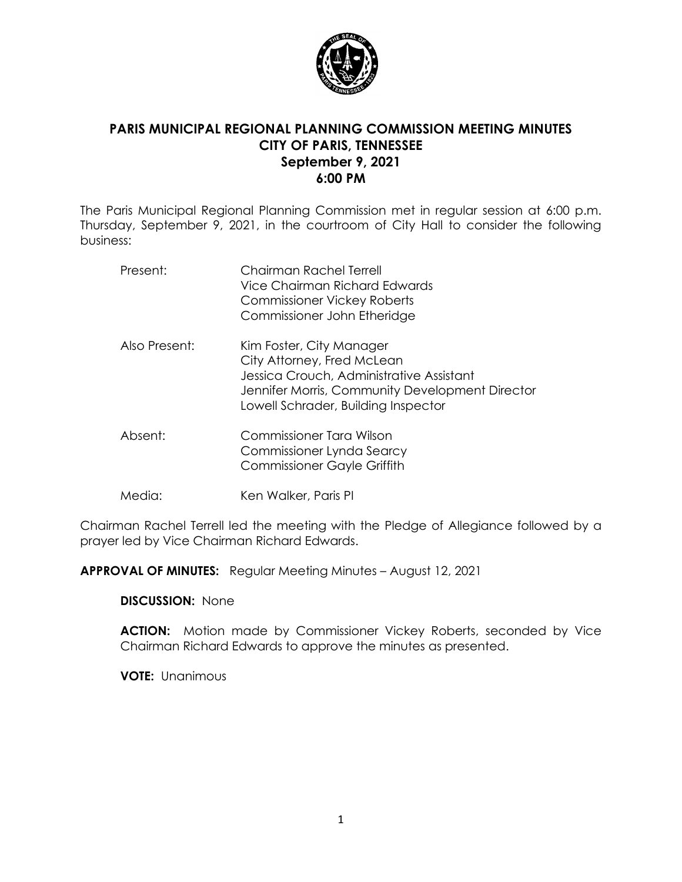

## **PARIS MUNICIPAL REGIONAL PLANNING COMMISSION MEETING MINUTES CITY OF PARIS, TENNESSEE September 9, 2021 6:00 PM**

The Paris Municipal Regional Planning Commission met in regular session at 6:00 p.m. Thursday, September 9, 2021, in the courtroom of City Hall to consider the following business:

| Present:      | Chairman Rachel Terrell<br>Vice Chairman Richard Edwards<br><b>Commissioner Vickey Roberts</b><br>Commissioner John Etheridge                                                                |
|---------------|----------------------------------------------------------------------------------------------------------------------------------------------------------------------------------------------|
| Also Present: | Kim Foster, City Manager<br>City Attorney, Fred McLean<br>Jessica Crouch, Administrative Assistant<br>Jennifer Morris, Community Development Director<br>Lowell Schrader, Building Inspector |
| Absent:       | Commissioner Tara Wilson<br>Commissioner Lynda Searcy<br><b>Commissioner Gayle Griffith</b>                                                                                                  |
| Media:        | Ken Walker, Paris PI                                                                                                                                                                         |

Chairman Rachel Terrell led the meeting with the Pledge of Allegiance followed by a prayer led by Vice Chairman Richard Edwards.

**APPROVAL OF MINUTES:** Regular Meeting Minutes – August 12, 2021

**DISCUSSION:** None

**ACTION:** Motion made by Commissioner Vickey Roberts, seconded by Vice Chairman Richard Edwards to approve the minutes as presented.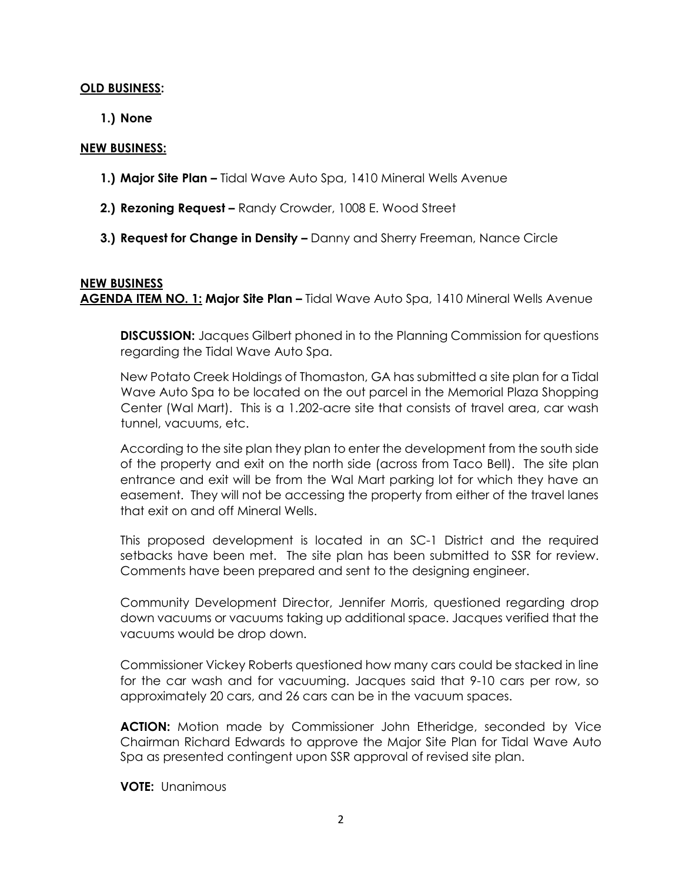### **OLD BUSINESS:**

**1.) None**

#### **NEW BUSINESS:**

- **1.) Major Site Plan –** Tidal Wave Auto Spa, 1410 Mineral Wells Avenue
- **2.) Rezoning Request –** Randy Crowder, 1008 E. Wood Street
- **3.) Request for Change in Density –** Danny and Sherry Freeman, Nance Circle

## **NEW BUSINESS AGENDA ITEM NO. 1: Major Site Plan –** Tidal Wave Auto Spa, 1410 Mineral Wells Avenue

**DISCUSSION:** Jacques Gilbert phoned in to the Planning Commission for questions regarding the Tidal Wave Auto Spa.

New Potato Creek Holdings of Thomaston, GA has submitted a site plan for a Tidal Wave Auto Spa to be located on the out parcel in the Memorial Plaza Shopping Center (Wal Mart). This is a 1.202-acre site that consists of travel area, car wash tunnel, vacuums, etc.

According to the site plan they plan to enter the development from the south side of the property and exit on the north side (across from Taco Bell). The site plan entrance and exit will be from the Wal Mart parking lot for which they have an easement. They will not be accessing the property from either of the travel lanes that exit on and off Mineral Wells.

This proposed development is located in an SC-1 District and the required setbacks have been met. The site plan has been submitted to SSR for review. Comments have been prepared and sent to the designing engineer.

Community Development Director, Jennifer Morris, questioned regarding drop down vacuums or vacuums taking up additional space. Jacques verified that the vacuums would be drop down.

Commissioner Vickey Roberts questioned how many cars could be stacked in line for the car wash and for vacuuming. Jacques said that 9-10 cars per row, so approximately 20 cars, and 26 cars can be in the vacuum spaces.

**ACTION:** Motion made by Commissioner John Etheridge, seconded by Vice Chairman Richard Edwards to approve the Major Site Plan for Tidal Wave Auto Spa as presented contingent upon SSR approval of revised site plan.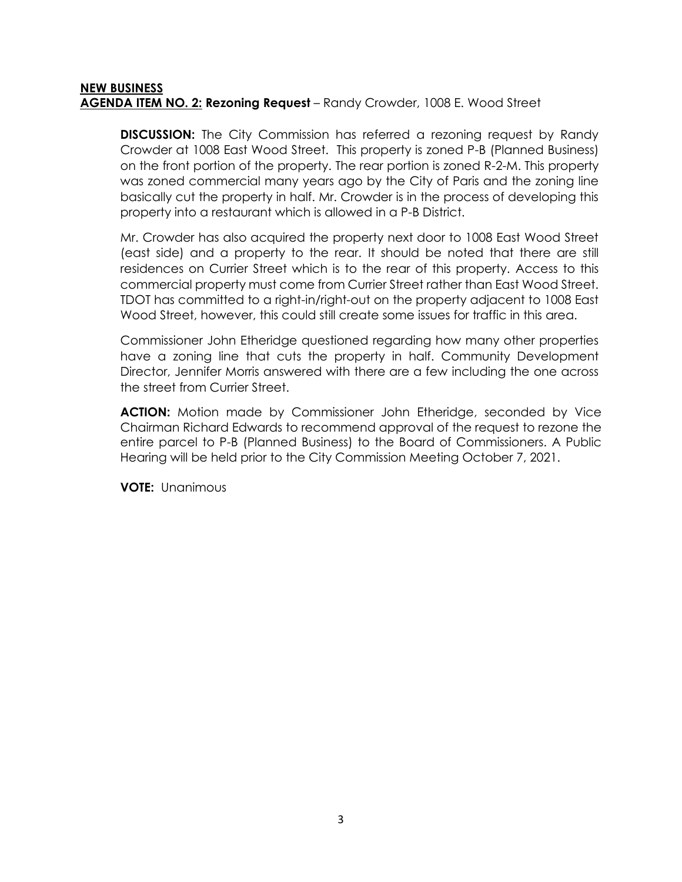### **NEW BUSINESS AGENDA ITEM NO. 2: Rezoning Request** – Randy Crowder, 1008 E. Wood Street

**DISCUSSION:** The City Commission has referred a rezoning request by Randy Crowder at 1008 East Wood Street. This property is zoned P-B (Planned Business) on the front portion of the property. The rear portion is zoned R-2-M. This property was zoned commercial many years ago by the City of Paris and the zoning line basically cut the property in half. Mr. Crowder is in the process of developing this property into a restaurant which is allowed in a P-B District.

Mr. Crowder has also acquired the property next door to 1008 East Wood Street (east side) and a property to the rear. It should be noted that there are still residences on Currier Street which is to the rear of this property. Access to this commercial property must come from Currier Street rather than East Wood Street. TDOT has committed to a right-in/right-out on the property adjacent to 1008 East Wood Street, however, this could still create some issues for traffic in this area.

Commissioner John Etheridge questioned regarding how many other properties have a zoning line that cuts the property in half. Community Development Director, Jennifer Morris answered with there are a few including the one across the street from Currier Street.

**ACTION:** Motion made by Commissioner John Etheridge, seconded by Vice Chairman Richard Edwards to recommend approval of the request to rezone the entire parcel to P-B (Planned Business) to the Board of Commissioners. A Public Hearing will be held prior to the City Commission Meeting October 7, 2021.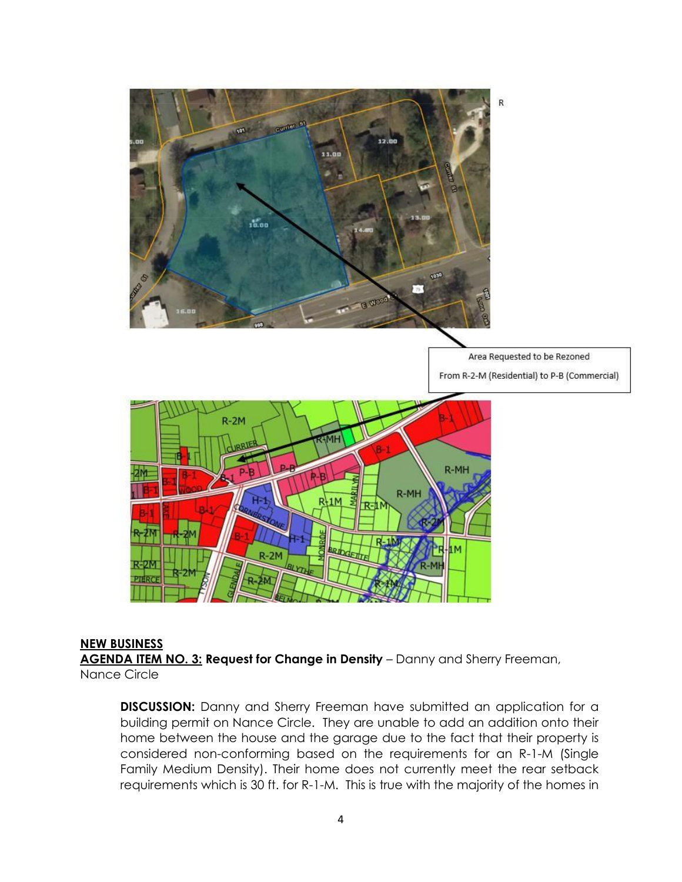

## **NEW BUSINESS**

**AGENDA ITEM NO. 3: Request for Change in Density** – Danny and Sherry Freeman, Nance Circle

**DISCUSSION:** Danny and Sherry Freeman have submitted an application for a building permit on Nance Circle. They are unable to add an addition onto their home between the house and the garage due to the fact that their property is considered non-conforming based on the requirements for an R-1-M (Single Family Medium Density). Their home does not currently meet the rear setback requirements which is 30 ft. for R-1-M. This is true with the majority of the homes in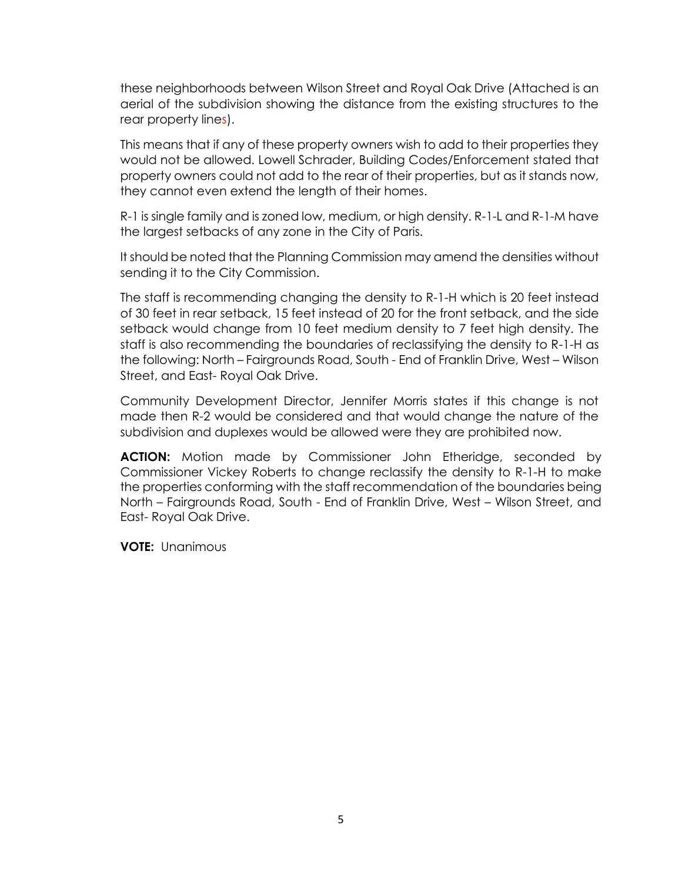these neighborhoods between Wilson Street and Royal Oak Drive (Attached is an aerial of the subdivision showing the distance from the existing structures to the rear property lines).

This means that if any of these property owners wish to add to their properties they would not be allowed. Lowell Schrader, Building Codes/Enforcement stated that property owners could not add to the rear of their properties, but as it stands now, they cannot even extend the length of their homes.

R-1 is single family and is zoned low, medium, or high density. R-1-L and R-1-M have the largest setbacks of any zone in the City of Paris.

It should be noted that the Planning Commission may amend the densities without sending it to the City Commission.

The staff is recommending changing the density to R-1-H which is 20 feet instead of 30 feet in rear setback, 15 feet instead of 20 for the front setback, and the side setback would change from 10 feet medium density to 7 feet high density. The staff is also recommending the boundaries of reclassifying the density to R-1-H as the following: North – Fairgrounds Road, South - End of Franklin Drive, West – Wilson Street, and East- Royal Oak Drive.

Community Development Director, Jennifer Morris states if this change is not made then R-2 would be considered and that would change the nature of the subdivision and duplexes would be allowed were they are prohibited now.

**ACTION:** Motion made by Commissioner John Etheridge, seconded by Commissioner Vickey Roberts to change reclassify the density to R-1-H to make the properties conforming with the staff recommendation of the boundaries being North – Fairgrounds Road, South - End of Franklin Drive, West – Wilson Street, and East- Royal Oak Drive.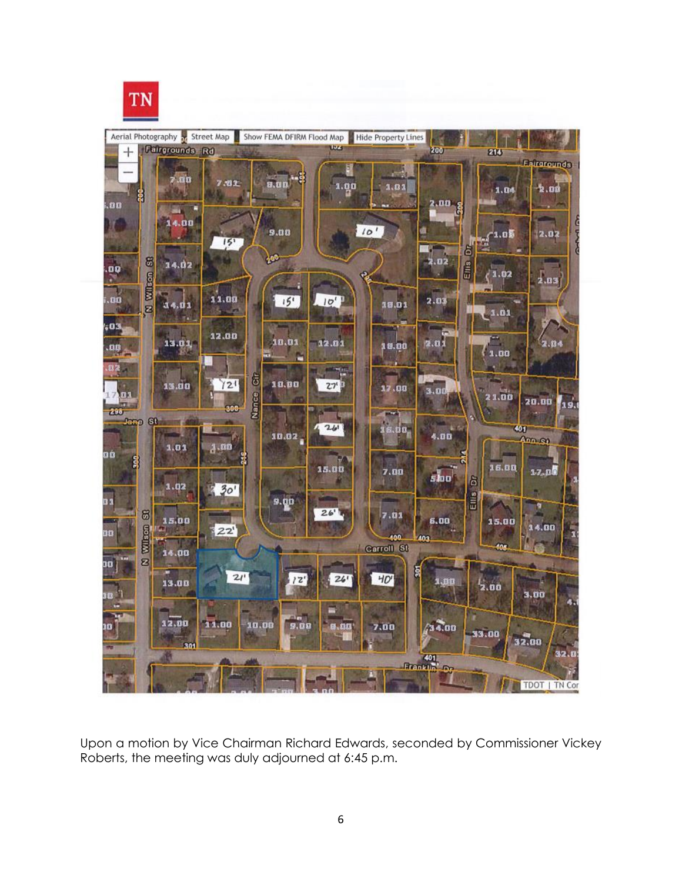# TN



Upon a motion by Vice Chairman Richard Edwards, seconded by Commissioner Vickey Roberts, the meeting was duly adjourned at 6:45 p.m.